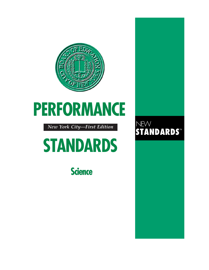

# **PERFORMANCE**

# **STANDARDS**

**Science Science**

NEW *New York City—First Edition*<br>
STANDARDS<sup>™</sup>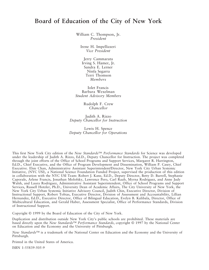# **Board of Education of the City of New York**

William C. Thompson, Jr. *President*

Irene H. Impellizzeri *Vice President*

Jerry Cammarata Irving S. Hamer, Jr. Sandra E. Lerner Ninfa Segarra Terri Thomson *Members*

Iolet Francis Barbara Wexelman *Student Advisory Members*

> Rudolph F. Crew *Chancellor*

Judith A. Rizzo *Deputy Chancellor for Instruction*

Lewis H. Spence *Deputy Chancellor for Operations*

This first New York City edition of the *New Standards™ Performance Standards* for Science was developed under the leadership of Judith A. Rizzo, Ed.D., Deputy Chancellor for Instruction. The project was completed through the joint efforts of the Office of School Programs and Support Services, Margaret R. Harrington, Ed.D., Chief Executive, and the Office of Program Development and Dissemination, William P. Casey, Chief Executive. Elsie Chan, Administrative Assistant Superintendent/Director, New York City Urban Systemic Initiative, (NYC USI), a National Science Foundation Funded Project, supervised the production of this edition in collaboration with the NYC USI Team: Robert J. Kane, Ed.D., Deputy Director, Betty D. Burrell, Stephanie Caporale, Arlene Francis, Jonathan Molofsky, Lawrence Pero, Carl Raab, Myrna Rodriguez, and Anne Judy Walsh, and Laura Rodriguez, Administrative Assistant Superintendent, Office of School Programs and Support Services, Russell Hotzler, Ph.D., University Dean of Academic Affairs, The City University of New York, the New York City Urban Systemic Initiative Advisory Council, Judith Chin, Executive Director, Division of Instructional Support, Robert Tobias, Executive Director, Division of Assessment and Accountability, Lillian Hernandez, Ed.D., Executive Director, Office of Bilingual Education, Evelyn B. Kalibala, Director, Office of Multicultural Education, and Gerald Haber, Assessment Specialist, Office of Performance Standards, Division of Instructional Support.

Copyright © 1999 by the Board of Education of the City of New York.

Duplication and distribution outside New York City's public schools are prohibited. These materials are based directly upon the *New Standards™ Performance Standards*, copyright © 1997 by the National Center on Education and the Economy and the University of Pittsburgh.

*New Standards™* is a trademark of the National Center on Education and the Economy and the University of Pittsburgh.

Printed in the United States of America.

ISBN 1-55839-505-9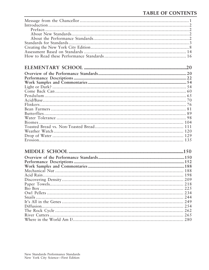| Overview of the Performance Standards (150) |  |
|---------------------------------------------|--|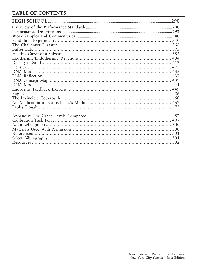# **TABLE OF CONTENTS**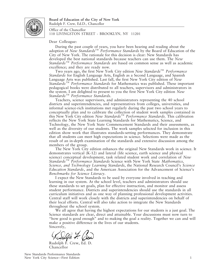

**Board of Education of the City of New York** Rudolph F. Crew, Ed.D., Chancellor

Office of the Chancellor 110 LIVINGSTON STREET - BROOKLYN, NY 11201

#### Dear Colleague:

During the past couple of years, you have been hearing and reading about the adoption of *New StandardsTM Performance Standards* by the Board of Education of the City of New York. The rationale for this decision is clear: New Standards has developed the best national standards because teachers can use them. The *New StandardsTM Performance Standards* are based on common sense as well as academic excellence; and they are ready now.

Two years ago, the first New York City edition *New StandardsTM Performance Standards* for English Language Arts, English as a Second Language, and Spanish Language Arts was published. Last fall, the first New York City edition of *New StandardsTM Performance Standards* for Mathematics was published. These important pedagogical books were distributed to all teachers, supervisors and administrators in the system. I am delighted to present to you the first New York City edition *New Standards TM Performance Standards*.

Teachers, science supervisors, and administrators representing the 40 school districts and superintendencies, and representatives from colleges, universities, and informal science-rich institutions met regularly during the past two school years to conceptually plan and to calibrate the collection of student work samples contained in this New York City edition *New StandardsTM Performance Standards*. This calibration reflects the New York State Learning Standards for Mathematics, Science, and Technology, the New York State Commencement Standards and their assessments, as well as the diversity of our students. The work samples selected for inclusion in this edition show work that illustrates standards-setting performances. They demonstrate that all students can meet high expectations in science. Selections were made as the result of an in-depth examination of the standards and extensive discussion among the members of the group.

The New York City edition enhances the original New Standards work in science. It demonstrates vertical (K-12) and lateral (life science, earth science and physical science) conceptual development, task related student work and correlation of *New StandardsTM Performance Standards* Science with New York State *Mathematics, Science, and Technology Learning Standards*, the National Research Council's *Science Education Standards*, and the American Association for the Advancement of Science's *Benchmarks for Science Literacy*.

I expect the New Standards to be used by everyone involved in teaching and learning in our system. At the school level, teachers and administrators should use these standards to set goals, plan for effective instruction, and monitor and assess student performance. Districts and superintendencies should use the standards in all curriculum initiatives and as one way of planning professional development activities. Central staff will work closely with the districts and superintendencies on behalf of their local efforts. Central will also take action to integrate the New Standards throughout the school system.

We all agree that having the highest expectations for our students is a just goal. The Science standards are clear, direct and attainable. Your discussions must now turn to "how good is good enough" and to making the goal a reality. Together we can and will make a positive difference in the lives of our students. Sincerely,

Rudolph F. Crew, Ed. D. Chancellor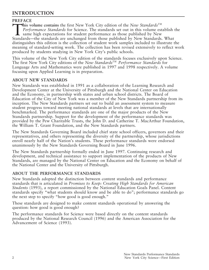## **INTRODUCTION**

### **PREFACE**

**his volume contains** the first New York City edition of the *New StandardsTM Performance Standards* for Science. The standards set out in this volume establish the same high expectations for student performance as those published by New This volume contains the first New York City edition of the New Standards<sup>TM</sup><br>Performance Standards for Science. The standards set out in this volume establish<br>Standards—the standards are unchanged from those published by distinguishes this edition is the collection of student work samples included to illustrate the meaning of standard-setting work. The collection has been revised extensively to reflect work produced by students studying in New York City's public schools.

This volume of the New York City edition of the standards focuses exclusively upon Science. The first New York City editions of the *New StandardsTM Performance Standards* for Language Arts and Mathematics were published in 1997 and 1998 respectively. A volume focusing upon Applied Learning is in preparation.

#### **ABOUT NEW STANDARDS**

New Standards was established in 1991 as a collaboration of the Learning Research and Development Center at the University of Pittsburgh and the National Center on Education and the Economy, in partnership with states and urban school districts. The Board of Education of the City of New York was a member of the New Standards partnership from its inception. The New Standards partners set out to build an assessment system to measure student progress toward meeting national standards at levels that are internationally benchmarked. The performance standards are one of the major products of the New Standards partnership. Support for the development of the performance standards was provided by the Pew Charitable Trusts, the John D. and Catherine T. MacArthur Foundation, the William T. Grant Foundation, and the New Standards partners.

The New Standards Governing Board included chief state school officers, governors and their representatives, and others representing the diversity of the partnership, whose jurisdictions enroll nearly half of the Nation's students. These performance standards were endorsed unanimously by the New Standards Governing Board in June 1996.

The New Standards partnership formally ended in June 1997. Continuing research and development, and technical assistance to support implementation of the products of New Standards, are managed by the National Center on Education and the Economy on behalf of the National Center and the University of Pittsburgh.

#### **ABOUT THE PERFORMANCE STANDARDS**

New Standards adopted the distinction between content standards and performance standards that is articulated in *Promises to Keep: Creating High Standards for American Students* (1993), a report commissioned by the National Education Goals Panel. Content standards specify "what students should know and be able to do"; performance standards go the next step to specify "how good is good enough."

These standards are designed to make content standards operational by answering the question: how good is good enough?

The performance standards for Science were based directly on the content standards produced by the National Research Council (1996) and the American Association for the Advancement of Science (1993).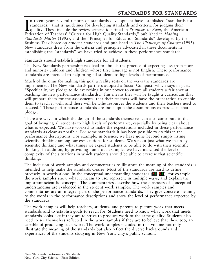**n recent years** several reports on standards development have established "standards for standards," that is, guidelines for developing standards and criteria for judging their quality. These include the review criteria identified in *Promises to Keep*, the American Federation of Teachers' "Criteria for High Quality Standards," published in *Making Standards Matter* (1995), and the "Principles for Education Standards" developed by the Business Task Force on Student Standards and published in *The Challenge of Change* (1995). New Standards drew from the criteria and principles advocated in these documents in establishing the "standards" we have tried to achieve in these performance standards.  $\prod_{\text{F}_{\text{PC}}}$ 

#### **Standards should establish high standards for all students.**

The New Standards partnership resolved to abolish the practice of expecting less from poor and minority children and children whose first language is not English. These performance standards are intended to help bring all students to high levels of performance.

Much of the onus for making this goal a reality rests on the ways the standards are implemented. The New Standards partners adopted a Social Compact, which says in part, "Specifically, we pledge to do everything in our power to ensure all students a fair shot at reaching the new performance standards…This means they will be taught a curriculum that will prepare them for the assessments, that their teachers will have the preparation to enable them to teach it well, and there will be…the resources the students and their teachers need to succeed." These performance standards are built upon the assumptions expressed in that pledge.

There are ways in which the design of the standards themselves can also contribute to the goal of bringing all students to high levels of performance, especially by being clear about what is expected. We have worked to make the expectations included in these performance standards as clear as possible. For some standards it has been possible to do this in the performance descriptions. For example, in Science, we have gone beyond simply listing scientific thinking among our expectations for students. We set out just what we mean by scientific thinking and what things we expect students to be able to do with their scientific thinking. In addition, by providing numerous examples we have indicated the level of complexity of the situations in which students should be able to exercise that scientific thinking.

The inclusion of work samples and commentaries to illustrate the meaning of the standards is intended to help make the standards clearer. Most of the standards are hard to define precisely in words alone. In the conceptual understanding standards (**S1-S4**), for example, the work samples show what it means to use, represent in multiple ways, and explain the important scientific concepts. The commentaries describe how these aspects of conceptual understanding are evidenced in the student work samples. The work samples and commentaries are an integral part of the performance standards. They give concrete meaning to the words in the performance descriptions and show the level of performance expected by the standards.

The work samples will help teachers, students, and parents to picture work that meets standards and to establish goals to reach for. Students need to know what work that meets standards looks like if they are to strive to produce work of the same quality. Students also need to see themselves reflected in the work samples if they are to believe that they, too, are capable of producing such work. The work samples included in this volume not only illustrate the meaning of the standards but also reflect the diverse backgrounds and experiences of the students studying in New York City's public schools.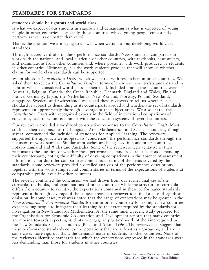# **STANDARDS FOR STANDARDS**

#### **Standards should be rigorous and world class.**

Is what we expect of our students as rigorous and demanding as what is expected of young people in other countries—especially those countries whose young people consistently perform as well as or better than ours?

That is the question we are trying to answer when we talk about developing world class standards.

Through successive drafts of these performance standards, New Standards compared our work with the national and local curricula of other countries, with textbooks, assessments, and examinations from other countries and, where possible, with work produced by students in other countries. Ultimately, it is the work students produce that will show us whether claims for world class standards can be supported.

We produced a *Consultation Draft*, which we shared with researchers in other countries. We asked them to review the *Consultation Draft* in terms of their own country's standards and in light of what is considered world class in their field. Included among these countries were Australia, Belgium, Canada, the Czech Republic, Denmark, England and Wales, Finland, France, Germany, Japan, the Netherlands, New Zealand, Norway, Poland, Scotland, Singapore, Sweden, and Switzerland. We asked these reviewers to tell us whether each standard is at least as demanding as its counterparts abroad and whether the set of standards represents an appropriately thorough coverage of the subject areas. We also shared the *Consultation Draft* with recognized experts in the field of international comparisons of education, each of whom is familiar with the education systems of several countries.

Our reviewers provided a wealth of constructive responses to the *Consultation Draft*. Most confined their responses to the Language Arts, Mathematics, and Science standards, though several commended the inclusion of standards for Applied Learning. The reviewers supported the approach we adopted to "concretize" the performance standards through the inclusion of work samples. Similar approaches are being used in some other countries, notably England and Wales and Australia. Some of the reviewers were tentative in their response to the question of whether these performance standards are at least as demanding as their counterparts, noting the difficulty of drawing comparisons in the absence of assessment information, but did offer comparative comments in terms of the areas covered by the standards. Some reviewers provided a detailed analysis of the performance descriptions together with the work samples and commentaries in terms of the expectations of students at comparable grade levels in other countries.

The reviews confirmed the conclusion we had drawn from our earlier analyses of the curricula, textbooks, and examinations of other countries: while the structure of curricula differs from country to country, the expectations contained in these performance standards represent a thorough coverage of the subject areas. No reviewer identified a case of significant omission. In some cases, reviewers noted that the range of expectations may be greater in the *New StandardsTM Performance Standards* than in other countries; for example, few countries expect young people to integrate their learning to the extent required by the standards for investigation in New Standards Mathematics. At the same time, a recent study prepared for the Organisation for Economic Co-operation and Development reports that many countries are moving towards expecting students to engage in practical work of the kind required by the New Standards Science standards (Black and Atkin, 1996). The reviews also suggest that these performance standards contain expectations that are at least as rigorous as, and are in some cases more rigorous than, the demands made of students in other countries. None of the reviewers identified standards for which the expectations expressed in the standards were less demanding than those for students in other countries.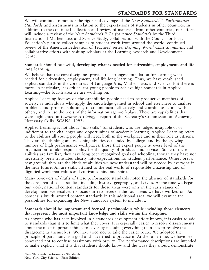We will continue to monitor the rigor and coverage of the *New StandardsTM Performance Standards* and assessments in relation to the expectations of students in other countries. In addition to the continued collection and review of materials from other countries, our efforts will include a review of the *New Standards*<sup>TM</sup> Performance Standards by the Third International Mathematics and Science Study, collaboration with the Council for Basic Education's plan to collect samples of student work from around the world, continued review of the American Federation of Teachers' series, *Defining World Class Standards*, and collaborative efforts with visiting scholars at the Learning Research and Development Center.

#### **Standards should be useful, developing what is needed for citizenship, employment, and lifelong learning.**

We believe that the core disciplines provide the strongest foundation for learning what is needed for citizenship, employment, and life-long learning. Thus, we have established explicit standards in the core areas of Language Arts, Mathematics, and Science. But there is more. In particular, it is critical for young people to achieve high standards in Applied Learning—the fourth area we are working on.

Applied Learning focuses on the capabilities people need to be productive members of society, as individuals who apply the knowledge gained in school and elsewhere to analyze problems and propose solutions, to communicate effectively and coordinate action with others, and to use the tools of the information age workplace. These are capabilities that were highlighted in *Learning A Living*, a report of the Secretary's Commission on Achieving Necessary Skills (SCANS, 1992).

Applied Learning is not about "job skills" for students who are judged incapable of or indifferent to the challenges and opportunities of academic learning. Applied Learning refers to the abilities all young people will need, both in the workplace and in their role as citizens. They are the thinking and reasoning abilities demanded by colleges and by the growing number of high performance workplaces, those that expect people at every level of the organization to take responsibility for the quality of products and services. Some of these abilities are familiar; they have long been recognized goals of schooling, though they have not necessarily been translated clearly into expectations for student performance. Others break new ground; they are the kinds of abilities we now understand will be needed by everyone in the near future. All are skills attuned to the real world of responsible citizenship and of dignified work that values and cultivates mind and spirit.

Many reviewers of drafts of these performance standards noted the absence of standards for the core area of social studies, including history, geography, and civics. At the time we began our work, national content standards for those areas were only in the early stages of development; we resolved to focus our resources on the four areas we have worked on. As consensus builds around content standards in this additional area, we will examine the possibilities for expanding the New Standards system to include it.

#### **Standards should be important and focused, parsimonious while including those elements that represent the most important knowledge and skills within the discipline.**

As anyone who has been involved in a standards development effort knows, it is easier to add to standards than it is to limit what they cover. It is especially easier to resolve disagreements about the most important things to cover by including everything than it is to resolve the disagreements themselves. We have tried not to take the easier route. We adopted the principle of parsimony as a goal and have tried to practice it. At the same time, we have been concerned not to confuse parsimony with brevity. The performance descriptions are intended to make explicit what it is that students should know and the ways they should demonstrate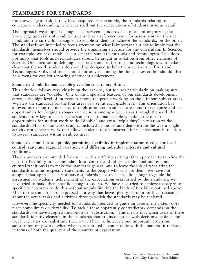# **STANDARDS FOR STANDARDS**

the knowledge and skills they have acquired. For example, the standards relating to conceptual understanding in Science spell out the expectations of students in some detail.

The approach we adopted distinguishes between standards as a means of organizing the knowledge and skills of a subject area and as a reference point for assessment, on the one hand, and the curriculum designed to enable students to achieve the standards, on the other. The standards are intended to focus attention on what is important but not to imply that the standards themselves should provide the organizing structure for the curriculum. In Science, for example, we have established a separate standard for tools and technologies. This does not imply that tools and technologies should be taught in isolation from other elements of Science. Our intention in defining a separate standard for tools and technologies is to make it clear that the work students do should be designed to help them achieve the Tools and Technologies. Skills and tools should not only be among the things assessed but should also be a focus for explicit reporting of student achievement.

#### **Standards should be manageable given the constraints of time.**

This criterion follows very closely on the last one, but focuses particularly on making sure that standards are "doable." One of the important features of our standards development effort is the high level of interaction among the people working on the different subject areas. We view the standards for the four areas as a set at each grade level. This orientation has allowed us to limit the incidence of duplication across subject areas and to recognize and use opportunities for forging stronger connections among subject areas through the work that students do. A key to ensuring the standards are manageable is making the most of opportunities for student work to do "double" and even "triple duty" in relation to the standards. Most of the work samples included in this volume demonstrate the way a single activity can generate work that allows students to demonstrate their achievement in relation to several standards within a subject area.

#### **Standards should be adaptable, permitting flexibility in implementation needed for local control, state and regional variation, and differing individual interests and cultural traditions.**

These standards are intended for use in widely differing settings. One approach to tackling the need for flexibility to accommodate local control and differing individual interests and cultural traditions is to make the standards general and to leave the job of translating the standards into more specific statements to the people who will use them. We have not adopted that approach. Performance standards need to be specific enough to guide the assessment of students' achievement of the expectations established by the standards; we have tried to make them specific enough to do so. We have also tried to achieve the degree of specificity necessary to do this without unduly limiting the kinds of flexibility outlined above. Most of the standards are expressed in a way that leaves plenty of room for local decisions about the actual tasks and activities through which the standards may be achieved.

However, the specificity needed for standards intended to guide an assessment system does place some limits on flexibility. To tackle these apparently contradictory demands on the standards, we have adopted the notion of "substitution." This means that when users of these standards identify elements in the standards that are inconsistent with decisions made at the local level, they can substitute their own. There is, however, one important provision: substitution only works when what is substituted is comparable with the material it replaces in terms of both the quality and the quantity of expectation.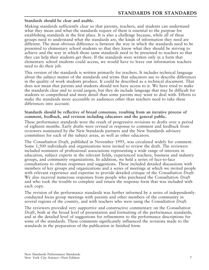#### **Standards should be clear and usable.**

Making standards sufficiently clear so that parents, teachers, and students can understand what they mean and what the standards require of them is essential to the purpose for establishing standards in the first place. It is also a challenge because, while all of these groups need to understand what the standards are, the kinds of information they need are different. The most obvious difference is between the way in which the standards need to be presented to elementary school students so that they know what they should be striving to achieve and the way in which those same standards need to be presented to teachers so that they can help their students get there. If the standards were written only in a form that elementary school students could access, we would have to leave out information teachers need to do their job.

This version of the standards is written primarily for teachers. It includes technical language about the subject matter of the standards and terms that educators use to describe differences in the quality of work students produce. It could be described as a technical document. That does not mean that parents and students should not have access to it. We have tried to make the standards clear and to avoid jargon, but they do include language that may be difficult for students to comprehend and more detail than some parents may want to deal with. Efforts to make the standards more accessible to audiences other than teachers need to take these differences into account.

#### **Standards should be reflective of broad consensus, resulting from an iterative process of comment, feedback, and revision including educators and the general public.**

These performance standards were the result of progressive revisions to drafts over a period of eighteen months. Early drafts were revised in response to comment and feedback from reviewers nominated by the New Standards partners and the New Standards advisory committees for each of the subject areas, as well as other educators.

The *Consultation Draft*, published in November 1995, was circulated widely for comment. Some 1,500 individuals and organizations were invited to review the draft. The reviewers included nominees of professional associations representing a wide range of interests in education, subject experts in the relevant fields, experienced teachers, business and industry groups, and community organizations. In addition, we held a series of face-to-face consultations to obtain responses and suggestions. These included detailed discussions with members of key groups and organizations and a series of meetings at which we invited people with relevant experience and expertise to provide detailed critique of the *Consultation Draft*. We also received numerous responses from people who purchased the *Consultation Draft* and who took the trouble to complete and return the response form that was included with each copy.

The revision of the performance standards was further informed by a series of independentlyconducted focus group meetings with parents and other members of the community in several regions of the country, and with teachers who were using the *Consultation Draft*.

The reviewers provided very supportive and constructive commentary on the *Consultation Draft*, both at the broad level of presentation and formatting of the performance standards, and at the detailed level of suggestions for refinements to the performance descriptions for some of the standards. These comments significantly influenced the revisions made to the standards in the preparation of the publication in finished form.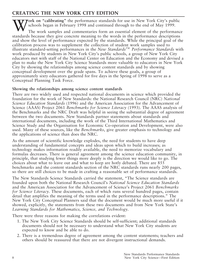# **CREATING THE NEW YORK CITY EDITION**

**Tork on "calibrating"** the performance standards for use in New York City's public schools began in February 1998 and continued through to the end of May 1999. The work samples and commentaries form an essential element of the performance standards because they give concrete meaning to the words in the performance descriptions and show the level of performance expected by the standards. While the principal goal of the calibration process was to supplement the collection of student work samples used to illustrate standard-setting performances in the *New StandardsTM Performance Standards* with work produced by students in New York City's public schools, a group of New York City educators met with staff of the National Center on Education and the Economy and devised a plan to make the New York City Science Standards more valuable to educators in New York City by showing the relationships among science content standards and by showing conceptual development over the grade spans. To achieve these goals, a group of approximately sixty educators gathered for five days in the Spring of 1998 to serve as a Conceptual Planning Task Force. W

#### **Showing the relationships among science content standards**

There are two widely used and respected national documents in science which provided the foundation for the work of New Standards: the National Research Council (NRC) *National Science Education Standards* (1996) and the American Association for the Advancement of Science (AAAS) Project 2061 *Benchmarks for Science Literacy* (1993). The AAAS analysis of the Benchmarks and the NRC Draft was helpful in seeing the substantial degree of agreement between the two documents. New Standards partner statements about standards and international documents, including the work of the Third International Mathematics and Science Study and the Organisation for Economic Co-operation and Development, were also used. Many of these sources, like the *Benchmarks*, give greater emphasis to technology and the applications of science than does the NRC.

As the amount of scientific knowledge explodes, the need for students to have deep understanding of fundamental concepts and ideas upon which to build increases; as technology makes information readily available, the need to memorize vocabulary and formulas decreases. There is general agreement among the science education community, in principle, that studying fewer things more deeply is the direction we would like to go. The choices about what to leave out and what to keep are hotly debated. There are 855 benchmarks and the content standards section of the NRC standards runs nearly 200 pages, so there are still choices to be made in crafting a reasonable set of performance standards.

The New Standards Science Standards carried the statement, "The Science standards are founded upon both the National Research Council's *National Science Education Standards* and the American Association for the Advancement of Science's Project 2061 *Benchmarks for Science Literacy*. These documents, each of which runs several hundred pages, contain detail that amplifies the meaning of the terms used in the performance descriptions." The New York City Conceptual Planners said that the document would be much more useful if it showed, explicitly, the statements from these two documents and from New York State's *Learning Standards for Mathematics, Science, and Technology*.

There were three reasons for making the correlations evident:

- 1. The New York City Science Standards should be self-sufficient; additional standards documents should not be necessary to understand what New York City students are expected to know and be able to do.
- 2. There is a tremendous degree of agreement among the content statements; teachers and others should be reassured that there are not divergent instructional demands.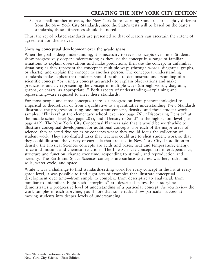3. In a small number of cases, the New York State Learning Standards are slightly different from the New York City Standards; since the State's tests will be based on the State's standards, these differences should be noted.

Thus, the set of related standards are presented so that educators can ascertain the extent of agreement for themselves.

#### **Showing conceptual development over the grade spans**

When the goal is deep understanding, it is necessary to revisit concepts over time. Students show progressively deeper understanding as they use the concept in a range of familiar situations to explain observations and make predictions, then use the concept in unfamiliar situations; as they represent the concept in multiple ways (through words, diagrams, graphs, or charts), and explain the concept to another person. The conceptual understanding standards make explicit that students should be able to demonstrate understanding of a scientific concept "by using a concept accurately to explain observations and make predictions and by representing the concept in multiple ways (through words, diagrams, graphs, or charts, as appropriate)." Both aspects of understanding—explaining and representing—are required to meet these standards.

For most people and most concepts, there is a progression from phenomenological to empirical to theoretical, or from a qualitative to a quantitative understanding. New Standards illustrated the progression using one important concept, density, and these student work samples: "Flinkers" at the elementary school level (see page 76), "Discovering Density" at the middle school level (see page 209), and "Density of Sand" at the high school level (see page 412). The New York City Conceptual Planners said that it would be worthwhile to illustrate conceptual development for additional concepts. For each of the major areas of science, they selected five topics or concepts where they would focus the collection of student work. They also drafted tasks that teachers could use to elicit student work so that they could illustrate the variety of curricula that are used in New York City. In addition to density, the Physical Sciences concepts are acids and bases, heat and temperature, energy, force and motion, and chemical reactions. The Life Sciences concepts are interdependence, structure and function, change over time, responding to stimuli, and reproduction and heredity. The Earth and Space Sciences concepts are surface features, weather, rocks and soils, water cycle, and space.

While it was a challenge to find standards-setting work for every concept in the list at every grade level, it was possible to find eight sets of examples that illustrate conceptual development over time—from simple to complex, from descriptive to analytical, from familiar to unfamiliar. Eight such "storylines" are described below. Each storyline demonstrates a progressive level of understanding of a particular concept. As you review the work samples in each storyline, you'll note that some tasks show particular success at moving students into deeper levels of understanding.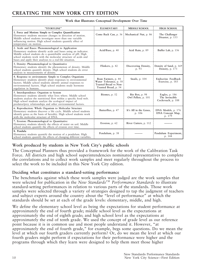# **CREATING THE NEW YORK CITY EDITION**

|  | Work that Illustrates Conceptual Development Over Time |  |
|--|--------------------------------------------------------|--|
|  |                                                        |  |

| "STORYLINE"                                                                                                                                                                                                                                                                                                            | <b>ELEMENTARY</b>                                                                              | <b>MIDDLE SCHOOL</b>                  | <b>HIGH SCHOOL</b>                                    |
|------------------------------------------------------------------------------------------------------------------------------------------------------------------------------------------------------------------------------------------------------------------------------------------------------------------------|------------------------------------------------------------------------------------------------|---------------------------------------|-------------------------------------------------------|
| 1. Force and Motion: Simple to Complex Quantification<br>Elementary students measure changes in direction of motion.<br>Middle school students investigate more than one variable<br>influencing motion. High school students quantify effect of<br>temperature on motion.                                             | Come Back Can, p. 36   Mechanical Nut, p. 86                                                   |                                       | The Challenger<br>Disaster, p. 153                    |
| 2. Acids and Bases: Phenomenological to Application<br>Elementary students identify acids and bases using an indicator.<br>Middle school students do a quantifiable analysis of pH. High<br>school students work with the molecular structure of acids and<br>bases and apply their analyses to a real-life situation. | Acid/Base, p. 40                                                                               | Acid Rain, p. 89                      | Buffer Lab, p. 156                                    |
| 3. Density: Phenomenological to Quantitative<br>Elementary students identify the phenomenon of density. Middle<br>school students quantify density. High school students do error<br>analysis in measurements of density.                                                                                              | Flinkers, p. 42                                                                                | Discovering Density,<br>p. 93         | Density of Sand, p. 169<br>Density, p. 173            |
| 4. Response to environment: Simple to Complex Organisms<br>Elementary students identify plant responses to environmental<br>factors. Middle school students identify animal responses to<br>environmental factors. High school students study hormone<br>regulation in humans.                                         | Bean Farmers, p. 44<br>Water Tolerance, p. 50<br>Toasted Bread vs Non-<br>Toasted Bread, p. 54 | Snails, p. 104                        | Endocrine Feedback<br>Exercise, p. 183                |
| 5. Interdependence: Organism to System<br>Elementary students identify what lives where. Middle school<br>students analyze the nutritional flow within a specific food web.<br>High school students analyze the ecological impact of<br>predator/prey relationships and other environmental factors.                   | Biomes, p. 52                                                                                  | Bio Box, p. 98<br>Owl Pellets, p. 101 | Eagles, p. 186<br>The Invincible<br>Cockroach, p. 188 |
| 6. Reproduction: Whole Organism to Molecular Structure<br>Elementary students discover a life cycle. Middle school students<br>identify genes as the basis of heredity. High school students work<br>with the molecular structure of DNA.                                                                              | Butterflies, p. 47                                                                             | It's All in the Genes.<br>p. 106      | DNA Models, p. 176<br>DNA Concept Map,<br>p. 179      |
| 7. Erosion: Phenomenological to Quantitative<br>Elementary students identify the effects of water on soil. Middle<br>school students quantify the effects of erosion over time.                                                                                                                                        | Erosion, p. 62                                                                                 | River Cutters, p. 112                 |                                                       |
| 8. Pendula<br>Elementary students quantify the motion of a pendulum. High<br>school students quantify the effects of changing different variables.                                                                                                                                                                     | Pendulum, p. 38                                                                                |                                       | Pendulum Experiment,<br>p. 144                        |

## **Work produced by students in New York City's public schools**

The Conceptual Planners thus provided a framework for the work of the Calibration Task Force. All districts and high school superintendencies nominated representatives to complete the correlations and to collect work samples and meet regularly throughout the process to select the work to be included in this New York City edition.

#### **Deciding what constitutes a standard-setting performance**

The benchmarks against which these work samples were judged are the work samples that were selected for publication in the *New StandardsTM Performance Standards* to illustrate standard-setting performances in relation to various parts of the standards. Those work samples were selected through a variety of strategies designed to tap the judgment of teachers and subject experts around the country about the "level of performance" at which the standards should be set at each of the grade levels: elementary, middle, and high.

We define the elementary school level as being the expectations for student performance at approximately the end of fourth grade; middle school level as the expectations at approximately the end of eighth grade; and high school level as the expectations at approximately the end of tenth grade. We used the concept of grade level as our reference point because it is in common use and most people understand it. However, "at approximately the end of fourth grade," for example, begs some questions. Do we mean the level at which our fourth graders currently perform? Or, do we mean the level at which our fourth graders might perform if expectations for their performance were higher and the programs through which they learn were designed to help them meet those higher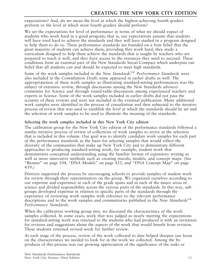expectations? And, do we mean the level at which the highest-achieving fourth graders perform or the level at which most fourth graders should perform?

We set the expectations for level of performance in terms of what we should expect of students who work hard in a good program; that is, our expectations assume that students will have tried hard to achieve the standards and they will have studied in a program designed to help them to do so. These performance standards are founded on a firm belief that the great majority of students can achieve them, providing they work hard, they study a curriculum designed to help them achieve the standards that is taught by teachers who are prepared to teach it well, and they have access to the resources they need to succeed. These conditions form an essential part of the New Standards Social Compact which underpins our belief that all students can and should be expected to meet high standards.

Some of the work samples included in the *New Standards™ Performance Standards* were also included in the *Consultation Draft*; some appeared in earlier drafts as well. The appropriateness of these work samples as illustrating standard-setting performances was the subject of extensive review, through discussions among the New Standards advisory committee for Science and through round-table discussions among experienced teachers and experts in Science. Some of the work samples included in earlier drafts did not pass the scrutiny of these reviews and were not included in the eventual publication. Many additional work samples were identified in the process of consultation and then subjected to the iterative process of review that was used to establish the level at which the standards should be set and the selection of work samples to be used to illustrate the meaning of the standards.

#### **Selecting the work samples included in this New York City edition**

The calibration group for the New York City edition of the performance standards followed a similar iterative process of review of collections of work samples to arrive at the selection that is included in this volume. Our goal was to identify candidate work samples for each part of the performance standards as the basis for selecting samples that would reflect the diversity of the communities that make up New York City and to demonstrate different approaches to producing standard-setting work, for example, student work that demonstrates conceptual understanding using the familiar format of expository writing as well as more innovative methods such as creating murals, models, and concept maps. (See "Biomes" on page 104, "DNA Models" on page 433, and "DNA Concept Map" on page 439.)

Districts supported the process by encouraging schools to provide samples of student work for review through their representatives on the group. We organized ourselves according to our expertise and experience at each of the grade spans and in each of the major areas of science and divided responsibility across the various parts of the standards. In this way, subgroups developed expertise in relation to specific parts of the standards through the experience of reviewing work samples with reference to the relevant performance descriptions and to the work samples and commentaries published in the *New StandardsTM Performance Standards*.

When the calibration working group met, we discussed the characteristics of the work samples collected. In some cases, work that was judged as nearly meeting the expectations for standard-setting work was returned to the students who had produced it with an invitation for revision and suggestions about the aspects of the work that would benefit from revision. These students returned revised work for further review.

At each stage of the process, review of the work collected to date helped sharpen our focus on the characteristics we needed to look for in the work we collected. Among the byproducts of this process was our growing appreciation of the significance of the tasks or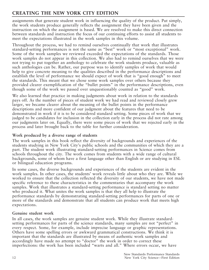# **CREATING THE NEW YORK CITY EDITION**

assignments that generate student work in influencing the quality of the product. Put simply, the work students produce generally reflects the assignment they have been given and the instruction on which the assignment is based. We are resolved to make this direct connection between standards and instruction the focus of our continuing efforts to assist all students to meet the expectations illustrated in the work samples in this volume.

Throughout the process, we had to remind ourselves continually that work that illustrates standard-setting performances is not the same as "best" work or "most exceptional" work. Some of the work samples we reviewed exceeded the expectations of the standards. Those work samples do not appear in this collection. We also had to remind ourselves that we were not trying to put together an anthology to celebrate the work students produce, valuable as such anthologies can be. Rather, our purpose was to identify samples of work that would help to give concrete meaning to the qualities described in the performance descriptions and establish the level of performance we should expect of work that is "good enough" to meet the standards. This meant that we chose some work samples over others because they provided clearer exemplification of the "bullet points" in the performance descriptions, even though some of the work we passed over unquestionably counted as "good" work.

We also learned that practice in making judgments about work in relation to the standards pays off. As the number of pieces of student work we had read and reviewed closely grew larger, we became clearer about the meaning of the bullet points in the performance descriptions and more confident of our judgment about the features that need to be demonstrated in work if it is to be considered standard setting. Some pieces of work that we judged to be candidates for inclusion in the collection early in the process did not rate among our judgments later on. Equally, there were some pieces of work that we rejected early in the process and later brought back to the table for further consideration.

#### **Work produced by a diverse range of students**

The work samples in this book reflect the diversity of backgrounds and experiences of the students studying in New York City's public schools and the communities of which they are a part. The student work illustrating standard-setting performances in Science comes from schools throughout the city. The work comes from students with a wide range of cultural backgrounds, some of whom have a first language other than English or are studying in ESL or bilingual education programs.

In some cases, the diverse backgrounds and experiences of the students are evident in the work samples. In other cases, the students' work reveals little about who they are. While we worked to ensure that the collection reflected the diversity of our students, we have not made specific reference to these characteristics in the commentaries that accompany the work samples. Work that illustrates a standard-setting performance is standard setting no matter who produced it. What unites the work samples is that they all help to illustrate the performance standards by demonstrating standard-setting performances for parts of one or more of the standards and demonstrate that all students can produce work that meets high expectations.

#### **Genuine student work**

In all cases, the work samples are genuine student work. While they illustrate standardsetting performances for parts of the science standards, many samples are not "perfect" in every respect. Some, for example, include imprecise language or graphic representations. Others have some spelling errors or awkward grammatical constructions. We think it is important that the standards are illustrated by means of authentic work samples and accordingly have made no attempt to "doctor" the work in order to correct these imperfections: the work has been included "warts and all." Where errors occur, we have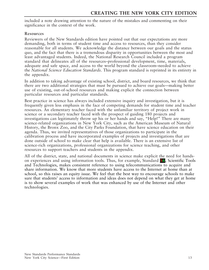included a note drawing attention to the nature of the mistakes and commenting on their significance in the context of the work.

### **Resources**

Reviewers of the New Standards edition have pointed out that our expectations are more demanding, both in terms of student time and access to resources, than they consider reasonable for all students. We acknowledge the distance between our goals and the status quo, and the fact that there is a tremendous disparity in opportunities between the most and least advantaged students. Indeed, the National Research Council included a program standard that delineates all of the resources–professional development, time, materials, adequate and safe space, and access to the world beyond the classroom–needed to achieve the *National Science Education Standards*. This program standard is reprinted in its entirety in the appendix.

In addition to taking advantage of existing school, district, and board resources, we think that there are two additional strategies that must be pursued to achieve our goals—making better use of existing, out-of-school resources and making explicit the connection between particular resources and particular standards.

Best practice in science has always included extensive inquiry and investigation, but it is frequently given less emphasis in the face of competing demands for student time and teacher resources. An elementary teacher faced with the unfamiliar territory of project work in science or a secondary teacher faced with the prospect of guiding 180 projects and investigations can legitimately throw up his or her hands and say, "Help!" There are many science-related organizations in New York City, such as the American Museum of Natural History, the Bronx Zoo, and the City Parks Foundation, that have science education on their agenda. Thus, we invited representatives of those organizations to participate in the calibration process and have incorporated examples of projects and investigations that are done outside of school to make clear that help is available. There is an extensive list of science-rich organizations, professional organizations for science teaching, and other resources to support teachers and students in the appendix.

All of the district, state, and national documents in science make explicit the need for handson experiences and using information tools. Thus, for example, Standard **S6**, Scientific Tools and Technologies, makes consistent reference to using telecommunications to acquire and share information. We know that more students have access to the Internet at home than at school, so this raises an equity issue. We feel that the best way to encourage schools to make sure that students' access to information and ideas does not depend on what they get at home is to show several examples of work that was enhanced by use of the Internet and other technologies.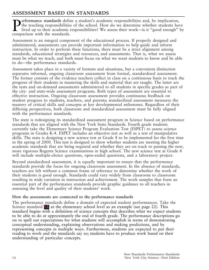# **ASSESSMENT BASED ON STANDARDS**

**erformance standards** define a student's academic responsibilities and, by implication, the teaching responsibilities of the school. How do we determine whether students have lived up to their academic responsibilities? We assess their work—is it "good enough" by **P** the teaching responsibilitie<br>lived up to their academic<br>comparison with the standards.

Assessment is an integral component of the educational process. If properly designed and administered, assessments can provide important information to help guide and inform instruction. In order to perform these functions, there must be a strict alignment among standards, educational strategies and resources, and assessments. That is, what we assess must be what we teach, and both must focus on what we want students to know and be able to do—the performance standards.

Assessment takes place in a variety of formats and situations, but a convenient distinction separates informal, ongoing classroom assessment from formal, standardized assessment. The former consists of the evidence teachers collect in class on a continuous basis to track the progress of their students in mastering the skills and material that are taught. The latter are the tests and on-demand assessments administered to all students in specific grades as part of the city- and state-wide assessment programs. Both types of assessment are essential to effective instruction. Ongoing classroom assessment provides continuous feedback on student progress to students, teachers, and parents; standardized assessment measures the mastery of critical skills and concepts at key developmental milestones. Regardless of their differing perspectives, both classroom and standardized assessment must be fully aligned with the performance standards.

The state is redesigning its standardized assessment program in Science based on performance standards that are aligned with the New York State Standards. Fourth grade students currently take the Elementary Science Program Evaluation Test (ESPET) to assess science programs in Grades K-4. ESPET includes an objective test as well as a test of manipulative skills. The state is designing a new science test at Grade 8 to be implemented for the first time in the spring of 2000. This test is designed to show whether students are meeting the higher academic standards that are being required and whether they are on track to passing the new, more rigorous Regents Science examinations in high school. The new science test at Grade 8 will include multiple-choice questions, open-ended questions, and a laboratory project.

Beyond standardized assessment, it is equally important to ensure that the performance standards provide the focus for ongoing classroom assessment. In the absence of standards, teachers are left without a common frame of reference to determine whether the work of their students is good enough. Standards could vary widely from classroom to classroom resulting in wide variation in instruction and achievement. The work samples that form an essential part of the performance standards provide graphic guidance to all teachers in assessing the level and quality of their students' work.

#### **How the assessments are connected to the performance standards**

The performance standards define a domain of expected student performances. Take the Science standard **S1** at the elementary school level as an example (see page 22). This standard begins with a definition of science concepts that describes what we expect students to be able to do at approximately the end of fourth grade. The performance descriptions go on to spell out expectations for what students will accomplish in terms of demonstrating conceptual understanding, explaining observations and making predictions, and by representing concepts in multiple ways. Furthermore, students are expected to put their reading to work and the standards say so; students have to produce work based on their understanding of particular concepts.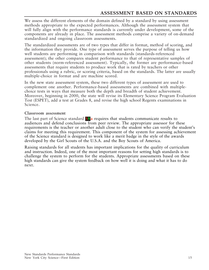We assess the different elements of the domain defined by a standard by using assessment methods appropriate to the expected performances. Although the assessment system that will fully align with the performance standards is currently under development, some of the components are already in place. The assessment methods comprise a variety of on-demand standardized and ongoing classroom assessments.

The standardized assessments are of two types that differ in format, method of scoring, and the information they provide. One type of assessment serves the purpose of telling us how well students are performing in comparison with standards (standards-referenced assessment); the other compares student performance to that of representative samples of other students (norm-referenced assessment). Typically, the former are performance-based assessments that require students to produce work that is rated by teachers or other professionals using a rubric, or scoring criteria, based on the standards. The latter are usually multiple-choice in format and are machine scored.

In the new state assessment system, these two different types of assessment are used to complement one another. Performance-based assessments are combined with multiplechoice tests in ways that measure both the depth and breadth of student achievement. Moreover, beginning in 2000, the state will revise its Elementary Science Program Evaluation Test (ESPET), add a test at Grades 8, and revise the high school Regents examinations in Science.

#### **Classroom assessment**

The last part of Science standard **S8a** requires that students communicate results to audiences and defend conclusions from peer review. The appropriate assessor for these requirements is the teacher or another adult close to the student who can verify the student's claims for meeting this requirement. This component of the system for assessing achievement of the Science standard is designed to work like a merit badge in the style of the awards developed by the Girl Scouts of the U.S.A. and the Boy Scouts of America.

Raising standards for all students has important implications for the quality of curriculum and instruction. Indeed, one of the most important reasons for setting high standards is to challenge the system to perform for the students. Appropriate assessments based on these high standards can give the system feedback on how well it is doing and what it has to do next.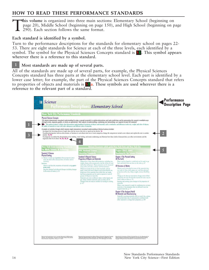# **HOW TO READ THESE PERFORMANCE STANDARDS**

**his volume** is organized into three main sections: Elementary School (beginning on page 20), Middle School (beginning on page 150), and High School (beginning on page 290). Each section follows the same format. T

## **Each standard is identified by a symbol.**

Turn to the performance descriptions for the standards for elementary school on pages 22- 53. There are eight standards for Science at each of the three levels, each identified by a symbol. The symbol for the Physical Sciences Concepts standard is **S1**. This symbol appears wherever there is a reference to this standard.

#### **Most standards are made up of several parts. 1**

All of the standards are made up of several parts, for example, the Physical Sciences Concepts standard has three parts at the elementary school level. Each part is identified by a lower case letter; for example, the part of the Physical Sciences Concepts standard that refers to properties of objects and materials is **S1a**. These symbols are used wherever there is a reference to the relevant part of a standard.

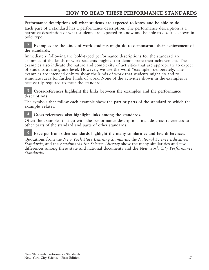## **Performance descriptions tell what students are expected to know and be able to do.**

Each part of a standard has a performance description. The performance description is a narrative description of what students are expected to know and be able to do. It is shown in bold type.

#### **Examples are the kinds of work students might do to demonstrate their achievement of the standards. 2**

Immediately following the bold-typed performance descriptions for the standard are examples of the kinds of work students might do to demonstrate their achievement. The examples also indicate the nature and complexity of activities that are appropriate to expect of students at the grade level. However, we use the word "example" deliberately. The examples are intended only to show the kinds of work that students might do and to stimulate ideas for further kinds of work. None of the activities shown in the examples is necessarily required to meet the standard.

#### **Cross-references highlight the links between the examples and the performance descriptions. 3**

The symbols that follow each example show the part or parts of the standard to which the example relates.

## **Cross-references also highlight links among the standards. 4**

Often the examples that go with the performance descriptions include cross-references to other parts of the standard and parts of other standards.

#### **Excerpts from other standards highlight the many similarities and few differences. 5**

Quotations from the *New York State Learning Standards*, the *National Science Education Standards*, and the *Benchmarks for Science Literacy* show the many similarities and few differences among these state and national documents and the *New York City Performance Standards*.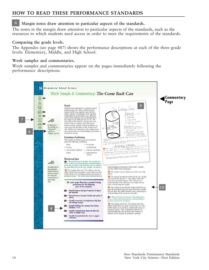# **HOW TO READ THESE PERFORMANCE STANDARDS**

#### **Margin notes draw attention to particular aspects of the standards. 6**

The notes in the margin draw attention to particular aspects of the standards, such as the resources to which students need access in order to meet the requirements of the standards.

#### **Comparing the grade levels.**

The Appendix (see page 487) shows the performance descriptions at each of the three grade levels: Elementary, Middle, and High School.

#### **Work samples and commentaries.**

Work samples and commentaries appear on the pages immediately following the performance descriptions.

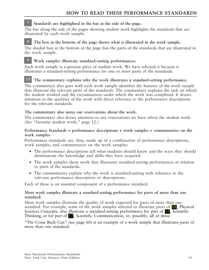# **HOW TO READ THESE PERFORMANCE STANDARDS**

#### **Standards are highlighted in the bar at the side of the page. 7**

The bar along the side of the pages showing student work highlights the standards that are illustrated by each work sample.

#### **The box at the bottom of the page shows what is illustrated in the work sample. 8**

The shaded box at the bottom of the page lists the parts of the standards that are illustrated in the work sample.

## **Work samples illustrate standard-setting performances.**

**9**

Each work sample is a genuine piece of student work. We have selected it because it illustrates a standard-setting performance for one or more parts of the standards.

#### **The commentary explains why the work illustrates a standard-setting performance. 10**

The commentary that goes with each work sample identifies the features of the work sample that illustrate the relevant parts of the standards. The commentary explains the task on which the student worked and the circumstances under which the work was completed. It draws attention to the qualities of the work with direct reference to the performance descriptions for the relevant standards.

### **The commentary also notes our reservations about the work.**

The commentary also draws attention to any reservations we have about the student work. (See "Genuine student work," page 12.)

#### **Performance Standards = performance descriptions + work samples + commentaries on the work samples.**

Performance standards are, thus, made up of a combination of performance descriptions, work samples, and commentaries on the work samples:

- The performance descriptions tell what students should know and the ways they should demonstrate the knowledge and skills they have acquired.
- The work samples show work that illustrates standard-setting performances in relation to parts of the standards.
- The commentaries explain why the work is standard-setting with reference to the relevant performance description or descriptions.

Each of these is an essential component of a performance standard.

### **Most work samples illustrate a standard-setting performance for parts of more than one standard.**

Most work samples illustrate the quality of work expected for parts of more than one standard. For example, some of the work samples selected to illustrate parts of **S1**, Physical Sciences Concepts, also illustrate a standard-setting performance for part of **S5**, Scientific Thinking, or for part of **S7**, Scientific Communication, or, possibly, all of these.

"The Come Back Can" (see page 60) is an example of a work sample that illustrates parts of more than one standard.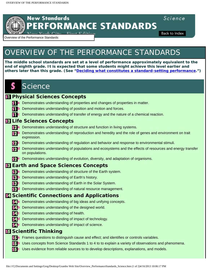**New Standards** 

Science

Back to Index

# OVERVIEW OF THE PERFORMANCE STANDARDS

**The middle school standards are set at a level of performance approximately equivalent to the end of eighth grade. It is expected that some students might achieve this level earlier and others later than this grade. (See "[Deciding what constitutes a standard-setting performance.](http://schools.nyc.gov/offices/teachlearn/documents/standards/science/preface/8creating.html)")** File:///Cocordinates 3langada<br>
The maldel school standards are are at a level of performances approximately a<br>
and of of of the file scale in this standard same as at a level of performance approximately a<br>
Uncervise fulco

**DRMANCE STANDARDS** 

# **Science**

# **Physical Sciences Concepts**

- **a** Demonstrates understanding of properties and changes of properties in matter.
- **b** Demonstrates understanding of position and motion and forces.
- **c** Demonstrates understanding of transfer of energy and the nature of a chemical reaction.

## **Life Sciences Concepts**

- **A** Demonstrates understanding of structure and function in living systems.
- **b** Demonstrates understanding of reproduction and heredity and the role of genes and environment on trait expression.
- **cytic** Demonstrates understanding of regulation and behavior and response to environmental stimuli.
- **d** Demonstrates understanding of populations and ecosystems and the effects of resources and energy transfer on populations.
- **e** Demonstrates understanding of evolution, diversity, and adaptation of organisms.

## **Earth and Space Sciences Concepts**

- **a** Demonstrates understanding of structure of the Earth system.
- **b** Demonstrates understanding of Earth's history.
- **C** Demonstrates understanding of Earth in the Solar System.
- **d** Demonstrates understanding of natural resource management.

# **Scientific Connections and Applications**

- **a** Demonstrates understanding of big ideas and unifying concepts.
- **b** Demonstrates understanding of the designed world.
- **c** Demonstrates understanding of health.
- **d** Demonstrates understanding of impact of technology.
- **e** Demonstrates understanding of impact of science.

# **SGIENTIFIC Thinking**

- **<b>A. Frames questions to distinguish cause and effect; and identifies or controls variables.**
- **<b>b** Uses concepts from Science Standards 1 to 4 to to explain a variety of observations and phenomena.
- **<b>c**<sub>1</sub> Uses evidence from reliable sources to to develop descriptions, explanations, and models.